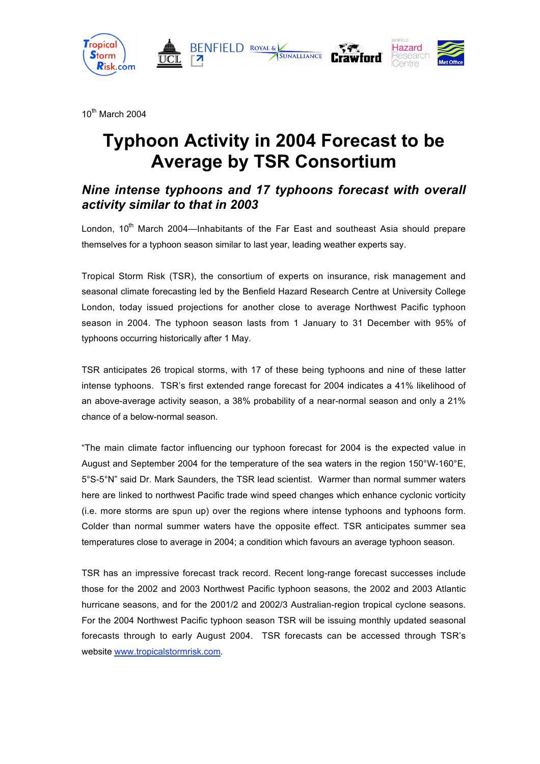

10th March 2004

# **Typhoon Activity in 2004 Forecast to be Average by TSR Consortium**

## *Nine intense typhoons and 17 typhoons forecast with overall activity similar to that in 2003*

London, 10<sup>th</sup> March 2004—Inhabitants of the Far East and southeast Asia should prepare themselves for a typhoon season similar to last year, leading weather experts say.

Tropical Storm Risk (TSR), the consortium of experts on insurance, risk management and seasonal climate forecasting led by the Benfield Hazard Research Centre at University College London, today issued projections for another close to average Northwest Pacific typhoon season in 2004. The typhoon season lasts from 1 January to 31 December with 95% of typhoons occurring historically after 1 May.

TSR anticipates 26 tropical storms, with 17 of these being typhoons and nine of these latter intense typhoons. TSR's first extended range forecast for 2004 indicates a 41% likelihood of an above-average activity season, a 38% probability of a near-normal season and only a 21% chance of a below-normal season.

"The main climate factor influencing our typhoon forecast for 2004 is the expected value in August and September 2004 for the temperature of the sea waters in the region 150°W-160°E, 5°S-5°N" said Dr. Mark Saunders, the TSR lead scientist. Warmer than normal summer waters here are linked to northwest Pacific trade wind speed changes which enhance cyclonic vorticity (i.e. more storms are spun up) over the regions where intense typhoons and typhoons form. Colder than normal summer waters have the opposite effect. TSR anticipates summer sea temperatures close to average in 2004; a condition which favours an average typhoon season.

TSR has an impressive forecast track record. Recent long-range forecast successes include those for the 2002 and 2003 Northwest Pacific typhoon seasons, the 2002 and 2003 Atlantic hurricane seasons, and for the 2001/2 and 2002/3 Australian-region tropical cyclone seasons. For the 2004 Northwest Pacific typhoon season TSR will be issuing monthly updated seasonal forecasts through to early August 2004. TSR forecasts can be accessed through TSR's website www.tropicalstormrisk.com.